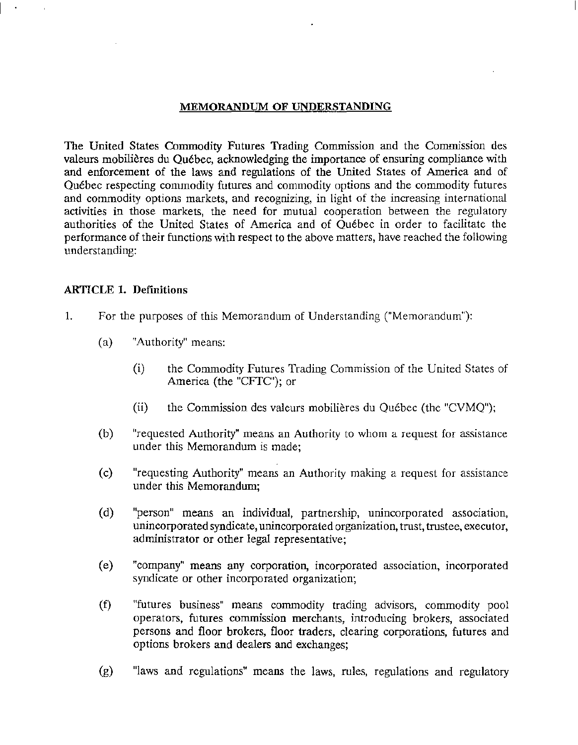### MEMORANDUM OF UNDERSTANDING

The United States Commodity Futures Trading Commission and the Commission des valeurs mobilieres du Quebec, acknowledging the importance of ensuring compliance with and enforcement of the laws and regulations of the United States of America and of Quebec respecting commodity futures and commodity options and the commodity futures and commodity options markets, and recognizing, in light of the increasing international activities in those markets, the need for mutual cooperation between the regulatory authorities of the United States of America and of Quebec in order to facilitate the performance of their functions with respect to the above matters, have reached the following understanding:

### ARTICLE I. Definitions

- 1. For the purposes of this Memorandum of Understanding ("Memorandum"):
	- (a) "Authority" means:
		- (i) the Commodity Futures Trading Commission of the United States of America (the "CFTC"); or
		- (ii) the Commission des valeurs mobilieres du Quebec (the "CVMQ");
	- (b) "requested Authority" means an Authority to whom a request for assistance under this Memorandum is made;
	- (c) "requesting Authority" means an Authority making a request for assistance under this Memorandum;
	- (d) "person" means an individual, partnership, unincorporated association, unincorporated syndicate, unincorporated organization, trust, trustee, executor, administrator or other legal representative;
	- (e) "company" means any corporation, incorporated a~sociation, incorporated syndicate or other incorporated organization;
	- (f) "futures business" means commodity trading advisors, commodity pool operators, futures commission merchants, introducing brokers, associated persons and floor brokers, floor traders, clearing corporations, futures and options brokers and dealers and exchanges;
	- (g) "laws and regulations" means the laws, rules, regulations and regulatory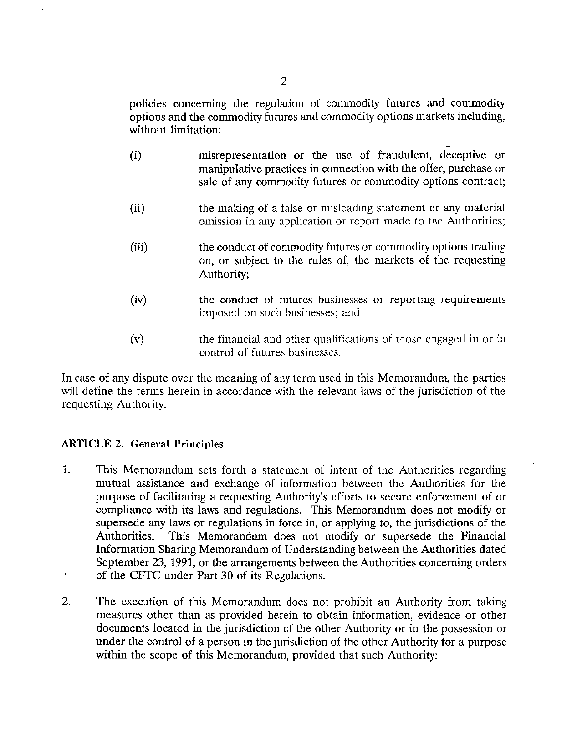policies concerning the regulation of commodity futures and commodity options and the commodity futures and commodity options markets including, without limitation:

- (i) misrepresentation or the use of fraudulent, deceptive or manipulative practices in connection with the offer, purchase or sale of any commodity futures or commodity options contract;
- (ii) the making of a false or misleading statement or any material omission in any application or report made to the Authorities;
- (iii) the conduct of commodity futures or commodity options trading on, or subject to the rules of, the markets of the requesting Authority;
- (iv) the conduct of futures businesses or reporting requirements imposed on such businesses; and
- (v) the financial and other qualifications of those engaged in or in control of futures businesses.

In case of any dispute over the meaning of any term used in this Memorandum, the parties will define the terms herein in accordance with the relevant laws of the jurisdiction of the requesting Authority.

# ARTICLE 2. General Principles

- 1. This Memorandum sets forth a statement of intent of the Authorities regarding mutual assistance and exchange of information between the Authorities for the purpose of facilitating a requesting Authority's efforts to secure enforcement of or compliance with its laws and regulations. This Memorandum does not modify or supersede any laws or regulations in force in, or applying to, the jurisdictions of the Authorities. This Memorandum does not modify or supersede the Financial Information Sharing Memorandum of Understanding between the Authorities dated September 23, 1991, or the arrangements between the Authorities concerning orders of the CFfC under Part 30 of its Regulations.
- 2. The execution of this Memorandum does not prohibit an Authority from taking measures other than as provided herein to obtain information, evidence or other documents located in the jurisdiction of the other Authority or in the possession or under the control of a person in the jurisdiction of the other Authority for a purpose within the scope of this Memorandum, provided that such Authority: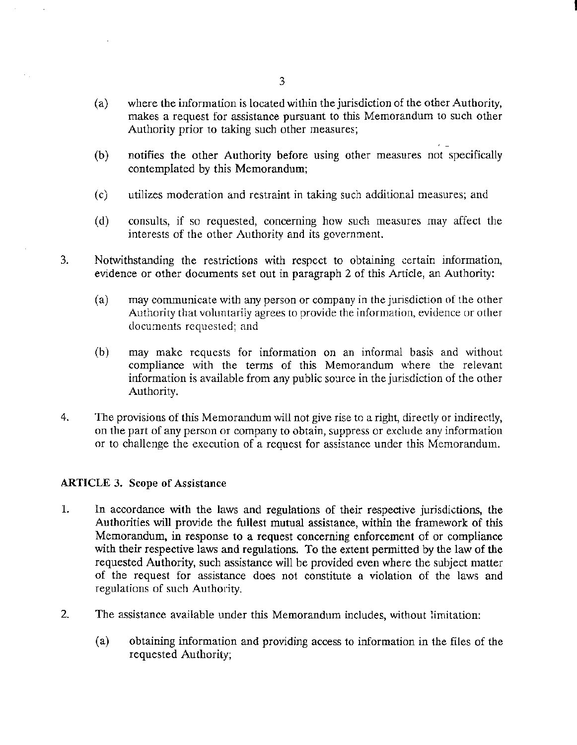(a) where the information is located within the jurisdiction of the other Authority, makes a request for assistance pursuant to this Memorandum to such other Authority prior to taking such other measures;

I

- (b) notifies the other Authority before using other measures not specifically contemplated by this Memorandum;
- (c) utilizes moderation and restraint in taking such additional measures; and
- (d) consults, if so requested, concerning how such measures may affect the interests of the other Authority and its government.
- 3. Notwithstanding the restrictions with respect to obtaining certain information, evidence or other documents set out in paragraph 2 of this Article, an Authority:
	- (a) may communicate with any person or company in the jurisdiction of the other Authority that voluntarily agrees to provide the information, evidence or other documents requested; and
	- (b) may make requests for information on an informal basis and without compliance with the terms of this Memorandum where the relevant information is available from any public soarce in the jurisdiction of the other Authority.
- 4. The provisions of this Memorandum will not give rise to a right, directly or indirectly, on the part of any person or company to obtain, suppress or exclude any information or to challenge the execution of a request for assistance under this Memorandum.

## ARTICLE 3. Scope of Assistance

- 1. In accordance with the laws and regulations of their respective jurisdictions, the Authorities will provide the fullest mutual assistance, within the framework of this Memorandum, in response to a request concerning enforcement of or compliance with their respective laws and regulations. To the extent permitted by the law of the requested Authority, such assistance will be provided even where the subject matter of the request for assistance does not constitute a violation of the laws and regulations of such Authority.
- 2. The assistance available under this Memorandum includes, without limitation:
	- (a) obtaining information and providing access to information in the files of the requested Authority;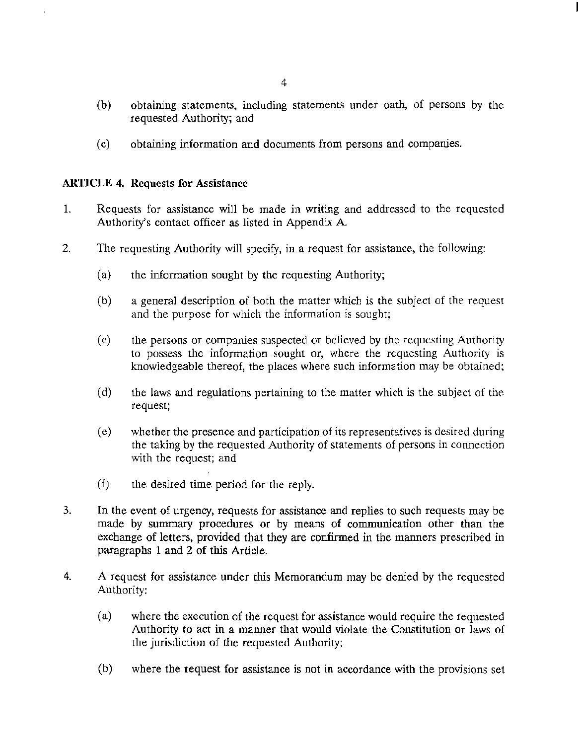- (b) obtaining statements, including statements under oath, of persons by the requested Authority; and
- (c) obtaining information and documents from persons and companies.

## ARTICLE 4. Requests for Assistance

- 1. Requests for assistance will be made in writing and addressed to the requested Authority's contact officer as listed in Appendix A
- 2. The requesting Authority will specify, in a request for assistance, the following:
	- (a) the information sought by the requesting Authority;
	- (b) a general description of both the matter which is the subject of the request and the purpose for which the information is sought;
	- (c) the persons or companies suspected or believed by the requesting Authority to possess the information sought or, where the requesting Authority is knowledgeable thereof, the places where such information may be obtained;
	- (d) the laws and regulations pertaining *to* the matter which is the subject of the request;
	- (c) whether the presence and participation of its representatives is desired during the taking by the requested Authority of statements of persons in connection with the request; and
	- (f) the desired time period for the reply.
- 3. In the event of urgency, requests for assistance and replies to such requests may be made by summary procedures or by means of communication other than the exchange of letters, provided that they are confirmed in the manners prescribed in paragraphs 1 and 2 of this Article.
- 4. A request for assistance under this Memorandum may be denied by the requested Authority:
	- (a) where the execution of the request for assistance would require the requested Authority to act in a manner that would violate the Constitution or laws of the jurisdiction of the requested Authority;
	- (b) where the request for assistance is not in accordance with the provisions set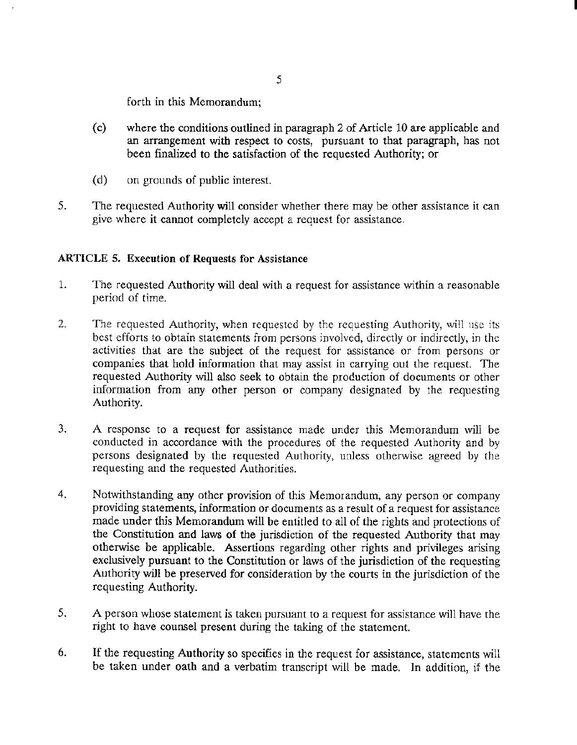forth in this Memorandum;

(c) where the conditions outlined in paragraph 2 of Article 10 are applicable and an arrangement with respect to costs, pursuant to that paragraph, has not been finalized to the satisfaction of the requested Authority; or

I

- (d) on grounds of public interest.
- 5. The requested Authority will consider whether there may be other assistance it can give where it cannot completely accept a request for assistance,

## ARTICLE 5. Execution of Requests for Assistance

- 1. The requested Authority will deal with a request for assistance within a reasonable period of time.
- 2. The requested Authority, when requested by the requesting Authority, will nsc its best efforts to obtain statements from persons involved, directly or indirectly, in the activities that are the subject of the request for assistance or from persons or companies that hold information that may assist in carrying out the request. The requested Authority will also seek to obtain the production of documents or other information from any other person or company designated by the requesting Authority.
- 3. A response to a request for assistance made under this Memorandum will be conducted in accordance with the procedures of the requested Authority and by persons designated by the requested Authority, unless otherwise agreed by the requesting and the requested Authorities.
- 4. Notwithstanding any other provision of this Memorandum, any person or company providing statements, information or documents as a result of a request for assistance made under this Memorandum will be entitled to all of the rights and protections of the Constitution and laws of the jurisdiction of the requested Authority that may otherwise be applicable. Assertions regarding other rights and privileges arising exclusively pursuant to the Constitution or laws of the jurisdiction of the requesting Authority will be preserved for consideration by the courts in the jurisdiction of the requesting Authority.
- 5. A person whose statement is taken pursuant to a request for assistance will have the right to have counsel present during the taking of the statement.
- 6. If the requesting Authority so specifies in the request for assistance, statements will be taken under oath and a verbatim transcript will be made. In addition, if the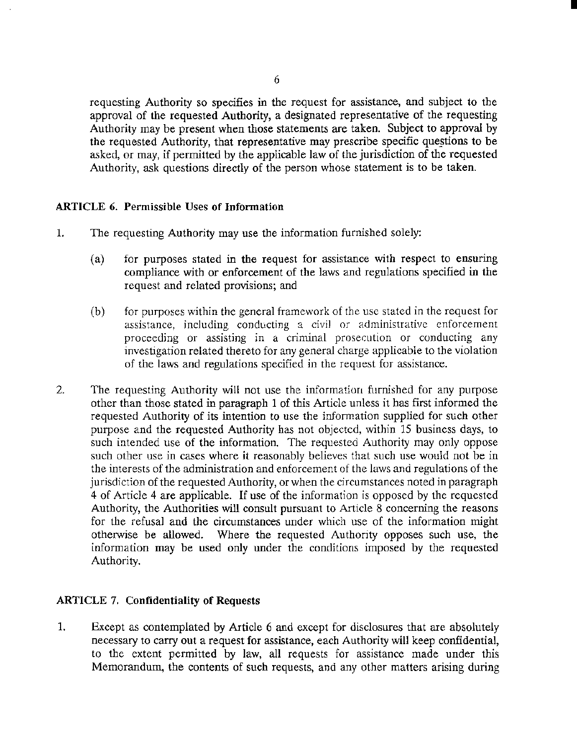requesting Authority so specifies in the request for assistance, and subject to the approval of the requested Authority, a designated representative of the requesting Authority may be present when those statements are taken. Subject to approval by the requested Authority, that representative may prescribe specific questions to be asked, or may, if permitted by the applicable law of the jurisdiction of the requested Authority, ask questions directly of the person whose statement is to be taken.

I

## ARTICLE 6. Permissible Uses of Information

- 1. The requesting Authority may use the information furnished solely:
	- (a) for purposes stated in the request for assistance with respect to ensuring compliance with or enforcement of the laws and regulations specified in the request and related provisions; and
	- (b) for purposes within the general framework of the use stated in the request for assistance, including conducting a civil or administrative enforcement proceeding or assisting in a criminal prosecution or conducting any investigation related thereto for any general charge applicable to the violation of the laws and regulations specified in the request for assistance.
- 2. The requesting Authority will not use the information furnished for any purpose other than those stated in paragraph 1 of this Article unless it has first informed the requested Authority of its intention to use the information supplied for such other purpose and the requested Authority has not objected, within 15 business days, to such intended use of the information. The requested Authority may only oppose such other use in cases where it reasonably believes that such use would not be in the interests of the administration and enforcement of the laws and regulations of the jurisdiction of the requested Authority, or when the circumstances noted in paragraph 4 of Article 4 are applicable. If use of the information is opposed by the requested Authority, the Authorities will consult pursuant to Article 8 concerning the reasons for the refusal and the circumstances under which use of the information might otherwise be allowed. Where the requested Authority opposes such use, the information may be used only under the conditions imposed by the requested Authority.

## ARTICLE 7. Confidentiality of Requests

1. Except as contemplated by Article 6 and except for disclosures that are absolutely necessary to carry out a request for assistance, each Authority will keep confidential, to the extent permitted by law, all requests for assistance made under this Memorandum, the contents of such requests, and any other matters arising during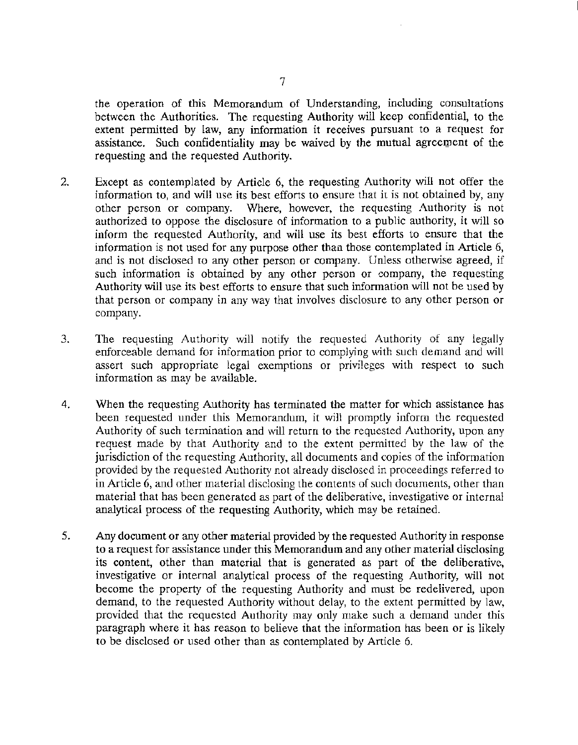the operation of this Memorandum of Understanding, including consultations between the Authorities. The requesting Authority will keep confidential, to the extent permitted by law, any information it receives pursuant to a request for assistance. Such confidentiality may be waived by the mutual agreement of the requesting and the requested Authority.

- 2. Except as contemplated by Article 6, the requesting Authority will not offer the information to, and will use its besr efforts to ensure that it is not obtained by, any other person or company. Where, however, the requesting Authority is not authorized to oppose the disclosure of information to a public authority, it will so inform the requested Authority, and will use its best efforts to ensure that the information is not used for any purpose other than those contemplated in Article 6, and is not disclosed to any other person or company. Unless otherwise agreed, if such information is obtained by any other person or company, the requesting Authority will use its best efforts to ensure that such information will not be used by that person or company in any way that involves disclosure to any other person or company.
- 3. The requesting Authority will notify the requested Authority of any legally enforceable demand for information prior to complying with such demand and will assert such appropriate legal exemptions or privileges with respect to such information as may be available.
- 4. When the requesting Authority has terminated the matter for which assistance has been requested under this Memorandum, it will promptly inform the requested Authority of such termination and will return to the requested Authority, upon any request made by that Authority and to the extent permitted by the law of the jurisdiction of the requesting Authority, all documents and copies of the information provided by the requested Authority not already disclosed in proceedings referred to in Article 6, and other material disclosing the contents of such documents, other than material that has been generated as part of the deliberative, investigative or internal analytical process of the requesting Authority, which may be retained.
- 5. Any document or any other material provided by the requested Authority in response to a request for assistance under this Memorandum and any other material disclosing its content, other than material that is generated as part of the deliberative, investigative or internal analytical process of the requesting Authority, will not become the property of the requesting Authority and must be redelivered, upon demand, to the requested Authority without delay, to the extent permitted by law, provided that the requested Authority may only make such a demand under this paragraph where it has reason to believe that the information has been or is likely to be disclosed or used other than as contemplated by Article 6.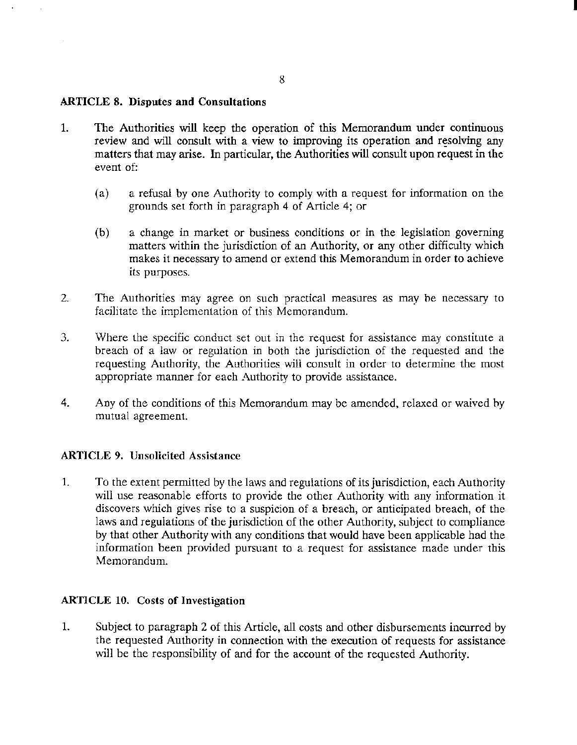### ARTICLE 8. Disputes **and** Consultations

- 1. The Authorities will keep the operation of this Memorandum under continuous review and will consult with a view to improving its operation and resolving any matters that may arise. In particular, the Authorities will consult upon request in the event of:
	- (a) a refusal by one Authority to comply with a request for information on the grounds set forth in paragraph 4 of Article 4; or
	- (b) a change in market or business conditions or in the legislation governing matters within the jurisdiction of an Authority, or any other difficulty which makes it necessary to amend or extend this Memorandum in order to achieve its purposes.
- 2. The Authorities may agree on such practical measures as may be necessary to facilitate the implementation of this Memorandum.
- 3. Where the specific conduct set out in the request for assistance may constitute a breach of a law or regulation in both the jurisdiction of the requested and the requesting Authority, the Authorities will consult in order to determine the most appropriate manner for each Authority to provide assistance.
- 4. Any of the conditiom of this Memorandum may be amended, relaxed or waived hy mutual agreement.

## ARTICLE 9. Unsolicited Assistance

1. To the extent permitted by the laws and regulations of its jurisdiction, each Authority will use reasonable efforts to provide the other Authority with any information it discovers which gives rise to a suspicion of a breach, or anticipated breach, of the laws and regulatiom of the jurisdiction of the other Authority, subject to compliance by that other Authority with any conditiom that would have been applicable had the information been provided pursuant to a request for assistance made under this Memorandum.

### ARTICLE 10. Costs of Investigation

1. Subject to paragraph 2 of this Article, all costs and other disbursements incurred by the requested Authority in connection with the execution of requests for assistance will be the responsibility of and for the account of the requested Authority.

I